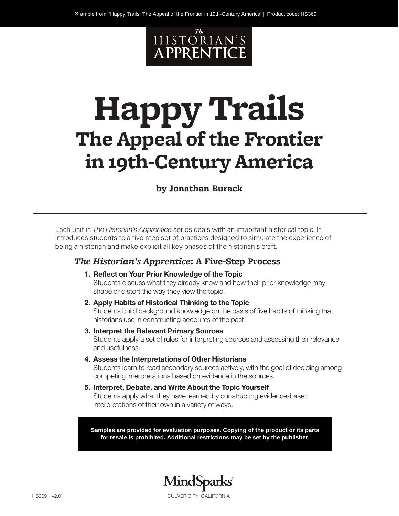

# **Happy Trails The Appeal of the Frontier in 19th-Century America**

#### **by Jonathan Burack**

Each unit in *The Historian's Apprentice* series deals with an important historical topic. It introduces students to a five-step set of practices designed to simulate the experience of being a historian and make explicit all key phases of the historian's craft.

#### *The Historian's Apprentice***: A Five-Step Process**

- **1. Reflect on Your Prior Knowledge of the Topic** Students discuss what they already know and how their prior knowledge may shape or distort the way they view the topic.
- **2. Apply Habits of Historical Thinking to the Topic** Students build background knowledge on the basis of five habits of thinking that historians use in constructing accounts of the past.
- **3. Interpret the Relevant Primary Sources** Students apply a set of rules for interpreting sources and assessing their relevance and usefulness.
- **4. Assess the Interpretations of Other Historians**

Students learn to read secondary sources actively, with the goal of deciding among competing interpretations based on evidence in the sources.

**5. Interpret, Debate, and Write About the Topic Yourself** Students apply what they have learned by constructing evidence-based interpretations of their own in a variety of ways.

**Samples are provided for evaluation purposes. Copying of the product or its parts for resale is prohibited. Additional restrictions may be set by the publisher.**

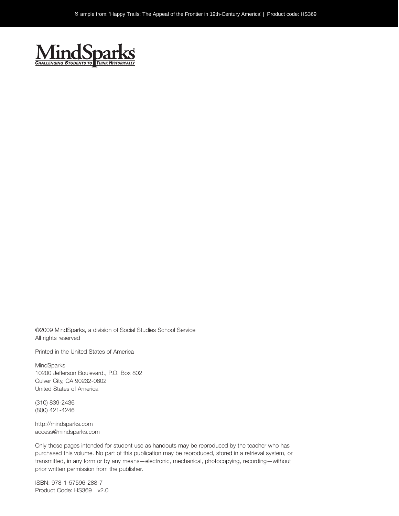

©2009 MindSparks, a division of Social Studies School Service All rights reserved

Printed in the United States of America

MindSparks 10200 Jefferson Boulevard., P.O. Box 802 Culver City, CA 90232-0802 United States of America

(310) 839-2436 (800) 421-4246

http://mindsparks.com access@mindsparks.com

Only those pages intended for student use as handouts may be reproduced by the teacher who has purchased this volume. No part of this publication may be reproduced, stored in a retrieval system, or transmitted, in any form or by any means—electronic, mechanical, photocopying, recording—without prior written permission from the publisher.

ISBN: 978-1-57596-288-7 Product Code: HS369 v2.0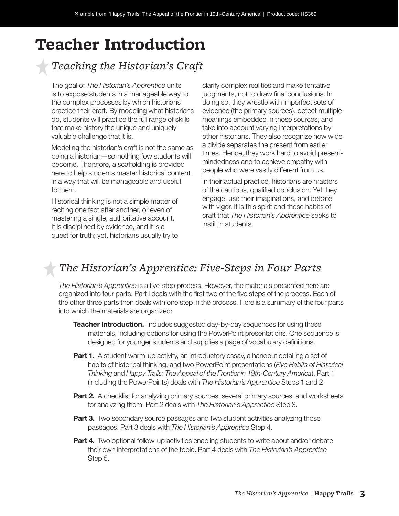# **Teacher Introduction**

# *Teaching the Historian's Craft*

The goal of *The Historian's Apprentice* units is to expose students in a manageable way to the complex processes by which historians practice their craft. By modeling what historians do, students will practice the full range of skills that make history the unique and uniquely valuable challenge that it is.

Modeling the historian's craft is not the same as being a historian—something few students will become. Therefore, a scaffolding is provided here to help students master historical content in a way that will be manageable and useful to them.

Historical thinking is not a simple matter of reciting one fact after another, or even of mastering a single, authoritative account. It is disciplined by evidence, and it is a quest for truth; yet, historians usually try to

clarify complex realities and make tentative judgments, not to draw final conclusions. In doing so, they wrestle with imperfect sets of evidence (the primary sources), detect multiple meanings embedded in those sources, and take into account varying interpretations by other historians. They also recognize how wide a divide separates the present from earlier times. Hence, they work hard to avoid presentmindedness and to achieve empathy with people who were vastly different from us.

In their actual practice, historians are masters of the cautious, qualified conclusion. Yet they engage, use their imaginations, and debate with vigor. It is this spirit and these habits of craft that *The Historian's Apprentice* seeks to instill in students.

# *The Historian's Apprentice: Five-Steps in Four Parts*

*The Historian's Apprentice* is a five-step process. However, the materials presented here are organized into four parts. Part I deals with the first two of the five steps of the process. Each of the other three parts then deals with one step in the process. Here is a summary of the four parts into which the materials are organized:

- **Teacher Introduction.** Includes suggested day-by-day sequences for using these materials, including options for using the PowerPoint presentations. One sequence is designed for younger students and supplies a page of vocabulary definitions.
- **Part 1.** A student warm-up activity, an introductory essay, a handout detailing a set of habits of historical thinking, and two PowerPoint presentations (*Five Habits of Historical Thinking* and *Happy Trails: The Appeal of the Frontier in 19th-Century America*). Part 1 (including the PowerPoints) deals with *The Historian's Apprentice* Steps 1 and 2.
- **Part 2.** A checklist for analyzing primary sources, several primary sources, and worksheets for analyzing them. Part 2 deals with *The Historian's Apprentice* Step 3.
- **Part 3.** Two secondary source passages and two student activities analyzing those passages. Part 3 deals with *The Historian's Apprentice* Step 4.
- **Part 4.** Two optional follow-up activities enabling students to write about and/or debate their own interpretations of the topic. Part 4 deals with *The Historian's Apprentice* Step 5.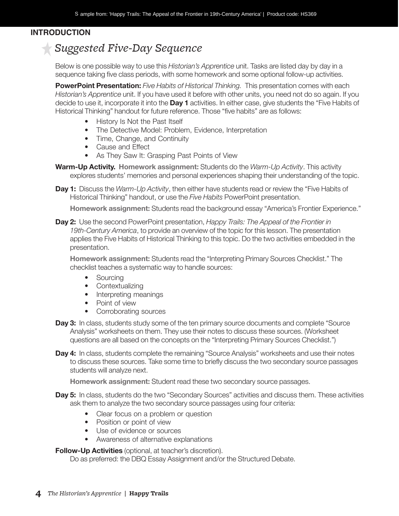#### *Teacher* **INTRODUCTION**

## *Suggested Five-Day Sequence*

Below is one possible way to use this *Historian's Apprentice* unit. Tasks are listed day by day in a sequence taking five class periods, with some homework and some optional follow-up activities.

**PowerPoint Presentation:** *Five Habits of Historical Thinking.* This presentation comes with each *Historian's Apprentice* unit. If you have used it before with other units, you need not do so again. If you decide to use it, incorporate it into the **Day 1** activities. In either case, give students the "Five Habits of Historical Thinking" handout for future reference. Those "five habits" are as follows:

- History Is Not the Past Itself
- The Detective Model: Problem, Evidence, Interpretation
- Time, Change, and Continuity
- Cause and Effect
- As They Saw It: Grasping Past Points of View

**Warm-Up Activity. Homework assignment:** Students do the *Warm-Up Activity*. This activity explores students' memories and personal experiences shaping their understanding of the topic.

**Day 1:** Discuss the *Warm-Up Activity*, then either have students read or review the "Five Habits of Historical Thinking" handout, or use the *Five Habits* PowerPoint presentation.

**Homework assignment:** Students read the background essay "America's Frontier Experience."

**Day 2:** Use the second PowerPoint presentation, *Happy Trails: The Appeal of the Frontier in 19th-Century America*, to provide an overview of the topic for this lesson. The presentation applies the Five Habits of Historical Thinking to this topic. Do the two activities embedded in the presentation.

**Homework assignment:** Students read the "Interpreting Primary Sources Checklist." The checklist teaches a systematic way to handle sources:

- Sourcing
- Contextualizing
- Interpreting meanings
- Point of view
- Corroborating sources
- **Day 3:** In class, students study some of the ten primary source documents and complete "Source Analysis" worksheets on them. They use their notes to discuss these sources. (Worksheet questions are all based on the concepts on the "Interpreting Primary Sources Checklist.")
- **Day 4:** In class, students complete the remaining "Source Analysis" worksheets and use their notes to discuss these sources. Take some time to briefly discuss the two secondary source passages students will analyze next.

**Homework assignment:** Student read these two secondary source passages.

- **Day 5:** In class, students do the two "Secondary Sources" activities and discuss them. These activities ask them to analyze the two secondary source passages using four criteria:
	- Clear focus on a problem or question
	- Position or point of view
	- Use of evidence or sources
	- Awareness of alternative explanations

**Follow-Up Activities** (optional, at teacher's discretion).

Do as preferred: the DBQ Essay Assignment and/or the Structured Debate.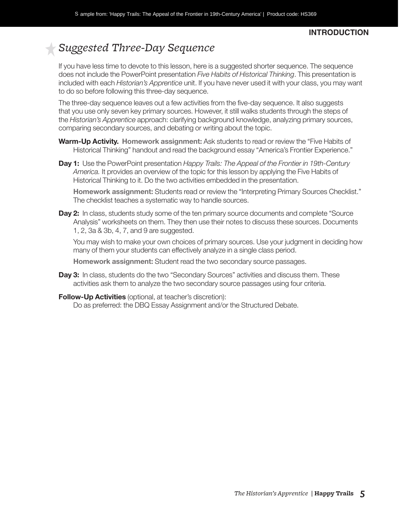#### *Teacher*  **INTRODUCTION**

# *Suggested Three-Day Sequence*

If you have less time to devote to this lesson, here is a suggested shorter sequence. The sequence does not include the PowerPoint presentation *Five Habits of Historical Thinking*. This presentation is included with each *Historian's Apprentice* unit. If you have never used it with your class, you may want to do so before following this three-day sequence.

The three-day sequence leaves out a few activities from the five-day sequence. It also suggests that you use only seven key primary sources. However, it still walks students through the steps of the *Historian's Apprentice* approach: clarifying background knowledge, analyzing primary sources, comparing secondary sources, and debating or writing about the topic.

- **Warm-Up Activity. Homework assignment:** Ask students to read or review the "Five Habits of Historical Thinking" handout and read the background essay "America's Frontier Experience."
- **Day 1:** Use the PowerPoint presentation *Happy Trails: The Appeal of the Frontier in 19th-Century America.* It provides an overview of the topic for this lesson by applying the Five Habits of Historical Thinking to it. Do the two activities embedded in the presentation.

**Homework assignment:** Students read or review the "Interpreting Primary Sources Checklist." The checklist teaches a systematic way to handle sources.

**Day 2:** In class, students study some of the ten primary source documents and complete "Source Analysis" worksheets on them. They then use their notes to discuss these sources. Documents 1, 2, 3a & 3b, 4, 7, and 9 are suggested.

You may wish to make your own choices of primary sources. Use your judgment in deciding how many of them your students can effectively analyze in a single class period.

**Homework assignment:** Student read the two secondary source passages.

- **Day 3:** In class, students do the two "Secondary Sources" activities and discuss them. These activities ask them to analyze the two secondary source passages using four criteria.
- **Follow-Up Activities** (optional, at teacher's discretion):

Do as preferred: the DBQ Essay Assignment and/or the Structured Debate.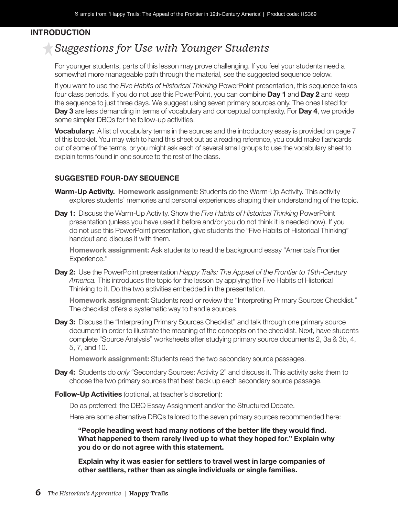#### *Teacher* **INTRODUCTION**

### *Suggestions for Use with Younger Students*

For younger students, parts of this lesson may prove challenging. If you feel your students need a somewhat more manageable path through the material, see the suggested sequence below.

If you want to use the *Five Habits of Historical Thinking* PowerPoint presentation, this sequence takes four class periods. If you do not use this PowerPoint, you can combine **Day 1** and **Day 2** and keep the sequence to just three days. We suggest using seven primary sources only. The ones listed for **Day 3** are less demanding in terms of vocabulary and conceptual complexity. For **Day 4**, we provide some simpler DBQs for the follow-up activities.

**Vocabulary:** A list of vocabulary terms in the sources and the introductory essay is provided on page 7 of this booklet. You may wish to hand this sheet out as a reading reference, you could make flashcards out of some of the terms, or you might ask each of several small groups to use the vocabulary sheet to explain terms found in one source to the rest of the class.

#### **SUGGESTED FOUR-DAY SEQUENCE**

- **Warm-Up Activity. Homework assignment:** Students do the Warm-Up Activity. This activity explores students' memories and personal experiences shaping their understanding of the topic.
- **Day 1:** Discuss the Warm-Up Activity. Show the *Five Habits of Historical Thinking* PowerPoint presentation (unless you have used it before and/or you do not think it is needed now). If you do not use this PowerPoint presentation, give students the "Five Habits of Historical Thinking" handout and discuss it with them.

**Homework assignment:** Ask students to read the background essay "America's Frontier Experience."

**Day 2:** Use the PowerPoint presentation *Happy Trails: The Appeal of the Frontier to 19th-Century America.* This introduces the topic for the lesson by applying the Five Habits of Historical Thinking to it. Do the two activities embedded in the presentation.

**Homework assignment:** Students read or review the "Interpreting Primary Sources Checklist." The checklist offers a systematic way to handle sources.

**Day 3:** Discuss the "Interpreting Primary Sources Checklist" and talk through one primary source document in order to illustrate the meaning of the concepts on the checklist. Next, have students complete "Source Analysis" worksheets after studying primary source documents 2, 3a & 3b, 4, 5, 7, and 10.

**Homework assignment:** Students read the two secondary source passages.

- **Day 4:** Students do *only* "Secondary Sources: Activity 2" and discuss it. This activity asks them to choose the two primary sources that best back up each secondary source passage.
- **Follow-Up Activities** (optional, at teacher's discretion):

Do as preferred: the DBQ Essay Assignment and/or the Structured Debate.

Here are some alternative DBQs tailored to the seven primary sources recommended here:

**"People heading west had many notions of the better life they would find. What happened to them rarely lived up to what they hoped for." Explain why you do or do not agree with this statement.** 

**Explain why it was easier for settlers to travel west in large companies of other settlers, rather than as single individuals or single families.**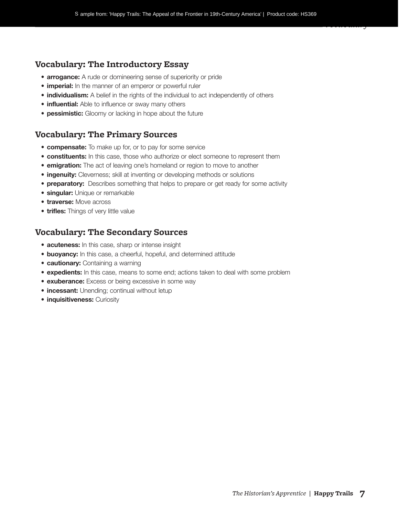#### **Vocabulary: The Introductory Essay**

- **arrogance:** A rude or domineering sense of superiority or pride
- **imperial:** In the manner of an emperor or powerful ruler
- **individualism:** A belief in the rights of the individual to act independently of others
- **influential:** Able to influence or sway many others
- **pessimistic:** Gloomy or lacking in hope about the future

#### **Vocabulary: The Primary Sources**

- **compensate:** To make up for, or to pay for some service
- **constituents:** In this case, those who authorize or elect someone to represent them
- **emigration:** The act of leaving one's homeland or region to move to another
- **ingenuity:** Cleverness; skill at inventing or developing methods or solutions
- **preparatory:** Describes something that helps to prepare or get ready for some activity
- **singular:** Unique or remarkable
- **traverse:** Move across
- **trifles:** Things of very little value

#### **Vocabulary: The Secondary Sources**

- **acuteness:** In this case, sharp or intense insight
- **buoyancy:** In this case, a cheerful, hopeful, and determined attitude
- **cautionary:** Containing a warning
- **expedients:** In this case, means to some end; actions taken to deal with some problem
- **exuberance:** Excess or being excessive in some way
- **incessant:** Unending; continual without letup
- **inquisitiveness:** Curiosity

*Vocabulary*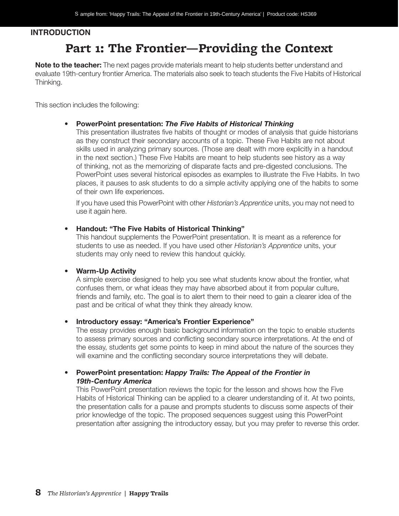#### *Teacher* **INTRODUCTION**

# **Part 1: The Frontier—Providing the Context**

**Note to the teacher:** The next pages provide materials meant to help students better understand and evaluate 19th-century frontier America. The materials also seek to teach students the Five Habits of Historical Thinking.

This section includes the following:

#### • **PowerPoint presentation:** *The Five Habits of Historical Thinking*

This presentation illustrates five habits of thought or modes of analysis that guide historians as they construct their secondary accounts of a topic. These Five Habits are not about skills used in analyzing primary sources. (Those are dealt with more explicitly in a handout in the next section.) These Five Habits are meant to help students see history as a way of thinking, not as the memorizing of disparate facts and pre-digested conclusions. The PowerPoint uses several historical episodes as examples to illustrate the Five Habits. In two places, it pauses to ask students to do a simple activity applying one of the habits to some of their own life experiences.

If you have used this PowerPoint with other *Historian's Apprentice* units, you may not need to use it again here.

#### • **Handout: "The Five Habits of Historical Thinking"**

This handout supplements the PowerPoint presentation. It is meant as a reference for students to use as needed. If you have used other *Historian's Apprentice* units, your students may only need to review this handout quickly.

#### • **Warm-Up Activity**

A simple exercise designed to help you see what students know about the frontier, what confuses them, or what ideas they may have absorbed about it from popular culture, friends and family, etc. The goal is to alert them to their need to gain a clearer idea of the past and be critical of what they think they already know.

#### • **Introductory essay: "America's Frontier Experience"**

The essay provides enough basic background information on the topic to enable students to assess primary sources and conflicting secondary source interpretations. At the end of the essay, students get some points to keep in mind about the nature of the sources they will examine and the conflicting secondary source interpretations they will debate.

#### • **PowerPoint presentation:** *Happy Trails: The Appeal of the Frontier in 19th-Century America*

This PowerPoint presentation reviews the topic for the lesson and shows how the Five Habits of Historical Thinking can be applied to a clearer understanding of it. At two points, the presentation calls for a pause and prompts students to discuss some aspects of their prior knowledge of the topic. The proposed sequences suggest using this PowerPoint presentation after assigning the introductory essay, but you may prefer to reverse this order.